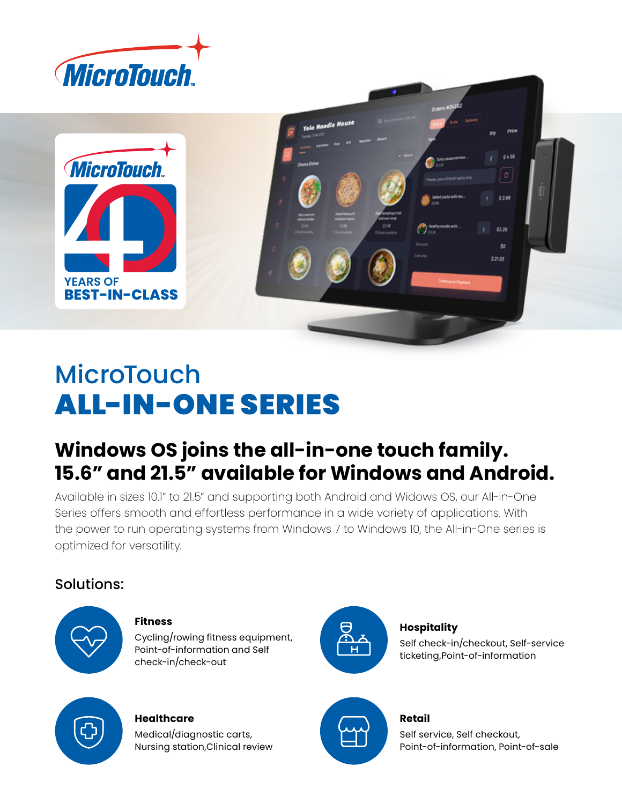



# **MicroTouch** ALL-IN-ONE SERIES

## **Windows OS joins the all-in-one touch family. 15.6" and 21.5" available for Windows and Android.**

Available in sizes 10.1" to 21.5" and supporting both Android and Widows OS, our All-in-One Series offers smooth and effortless performance in a wide variety of applications. With the power to run operating systems from Windows 7 to Windows 10, the All-in-One series is optimized for versatility.

### Solutions:



#### **Fitness**

Cycling/rowing fitness equipment, Point-of-information and Self check-in/check-out



#### **Hospitality**

Self check-in/checkout, Self-service ticketing,Point-of-information



### **Healthcare**

Medical/diagnostic carts, Nursing station,Clinical review



### **Retail**

Self service, Self checkout, Point-of-information, Point-of-sale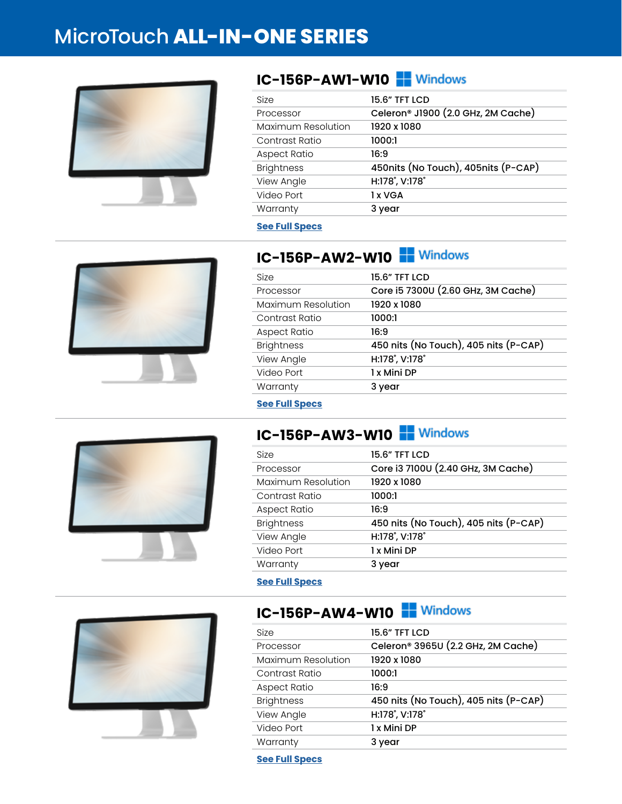## MicroTouch **ALL-IN-ONE SERIES**



### **IC-156P-AW1-W10 P** Windows

| Size               | 15.6" TFT LCD                                  |
|--------------------|------------------------------------------------|
| Processor          | Celeron <sup>®</sup> J1900 (2.0 GHz, 2M Cache) |
| Maximum Resolution | 1920 x 1080                                    |
| Contrast Ratio     | 1000:1                                         |
| Aspect Ratio       | 16:9                                           |
| <b>Brightness</b>  | 450nits (No Touch), 405nits (P-CAP)            |
| View Angle         | H:178°, V:178°                                 |
| Video Port         | 1 x VGA                                        |
| Warranty           | 3 year                                         |
|                    |                                                |

#### **[See Full Specs](https://microtouch.com/products/ic-156p-aw1/)**



### **IC-156P-AW2-W10 PM** Windows

| Size               | <b>15.6" TFT LCD</b>                  |
|--------------------|---------------------------------------|
| Processor          | Core i5 7300U (2.60 GHz, 3M Cache)    |
| Maximum Resolution | 1920 x 1080                           |
| Contrast Ratio     | 1000:1                                |
| Aspect Ratio       | 16:9                                  |
| <b>Brightness</b>  | 450 nits (No Touch), 405 nits (P-CAP) |
| View Angle         | H:178°, V:178°                        |
| Video Port         | 1 x Mini DP                           |
| Warranty           | 3 year                                |

**[See Full Specs](https://microtouch.com/products/ic-156p-aw2/)**

### **IC-156P-AW3-W10 PM** Windows

| Size                | <b>15.6" TFT LCD</b>                  |
|---------------------|---------------------------------------|
| Processor           | Core i3 7100U (2.40 GHz, 3M Cache)    |
| Maximum Resolution  | 1920 x 1080                           |
| Contrast Ratio      | 1000:1                                |
| <b>Aspect Ratio</b> | 16:9                                  |
| <b>Brightness</b>   | 450 nits (No Touch), 405 nits (P-CAP) |
| View Angle          | H:178°, V:178°                        |
| Video Port          | 1 x Mini DP                           |
| Warranty            | 3 year                                |
|                     |                                       |

#### **[See Full Specs](https://microtouch.com/products/ic-156p-aw3/)**

### **IC-156P-AW4-W10 PM** Windows





**[See Full Specs](https://microtouch.com/products/ic-156p-aw4/)**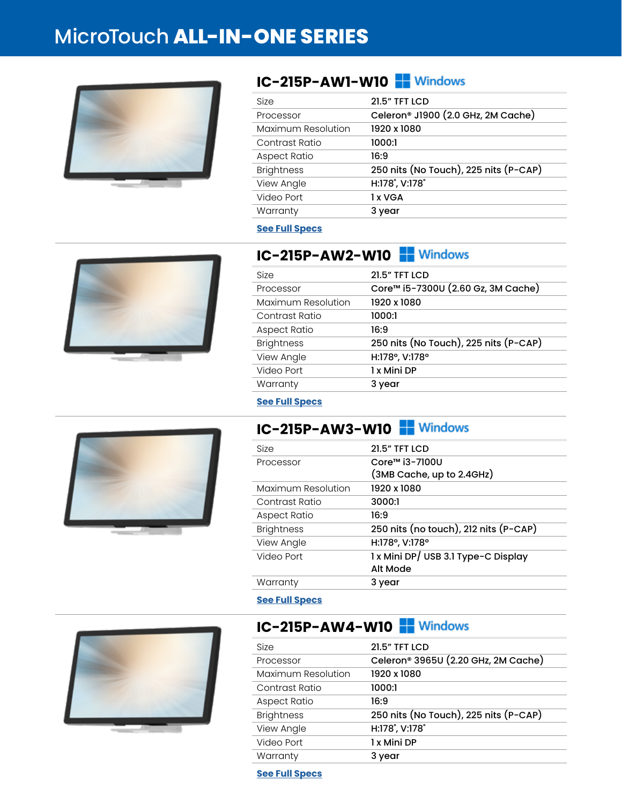## MicroTouch **ALL-IN-ONE SERIES**



### **IC-215P-AW1-W10 F** Windows

| Size               | <b>21.5" TFT LCD</b>                           |
|--------------------|------------------------------------------------|
| Processor          | Celeron <sup>®</sup> J1900 (2.0 GHz, 2M Cache) |
| Maximum Resolution | 1920 x 1080                                    |
| Contrast Ratio     | 1000:1                                         |
| Aspect Ratio       | 16:9                                           |
| <b>Brightness</b>  | 250 nits (No Touch), 225 nits (P-CAP)          |
| View Angle         | H:178°, V:178°                                 |
| Video Port         | 1 x VGA                                        |
| Warranty           | 3 year                                         |
|                    |                                                |

#### **[See Full Specs](https://microtouch.com/products/ic-215p-aw1/)**



### **IC-215P-AW2-W10 PM** Windows

| Size               | <b>21.5" TFT LCD</b>                  |
|--------------------|---------------------------------------|
| Processor          | Core™ i5-7300U (2.60 Gz, 3M Cache)    |
| Maximum Resolution | 1920 x 1080                           |
| Contrast Ratio     | 1000:1                                |
| Aspect Ratio       | 16:9                                  |
| <b>Brightness</b>  | 250 nits (No Touch), 225 nits (P-CAP) |
| View Angle         | H:178°, V:178°                        |
| Video Port         | 1 x Mini DP                           |
| Warranty           | 3 year                                |
|                    |                                       |

#### **[See Full Specs](https://microtouch.com/products/ic-215p-aw2/)**

### **IC-215P-AW3-W10**

| <b>Size</b>         | <b>21.5" TFT LCD</b>                  |
|---------------------|---------------------------------------|
| Processor           | Core™ i3-7100U                        |
|                     | (3MB Cache, up to 2.4GHz)             |
| Maximum Resolution  | 1920 x 1080                           |
| Contrast Ratio      | 3000:1                                |
| <b>Aspect Ratio</b> | 16:9                                  |
| <b>Brightness</b>   | 250 nits (no touch), 212 nits (P-CAP) |
| View Angle          | H:178°, V:178°                        |
| Video Port          | 1 x Mini DP/ USB 3.1 Type-C Display   |
|                     | Alt Mode                              |
| Warranty            | 3 year                                |
|                     |                                       |

#### **[See Full Specs](https://microtouch.com/products/ic-215p-aw3/)**



### **IC-215P-AW4-W10 PM** Windows

| Size                | <b>21.5" TFT LCD</b>                  |
|---------------------|---------------------------------------|
| Processor           | Celeron® 3965U (2.20 GHz, 2M Cache)   |
| Maximum Resolution  | 1920 x 1080                           |
| Contrast Ratio      | 1000:1                                |
| <b>Aspect Ratio</b> | 16:9                                  |
| <b>Brightness</b>   | 250 nits (No Touch), 225 nits (P-CAP) |
| View Angle          | H:178°, V:178°                        |
| Video Port          | 1 x Mini DP                           |
| Warranty            | 3 year                                |

**[See Full Specs](https://microtouch.com/products/ic-215p-aw4/)**